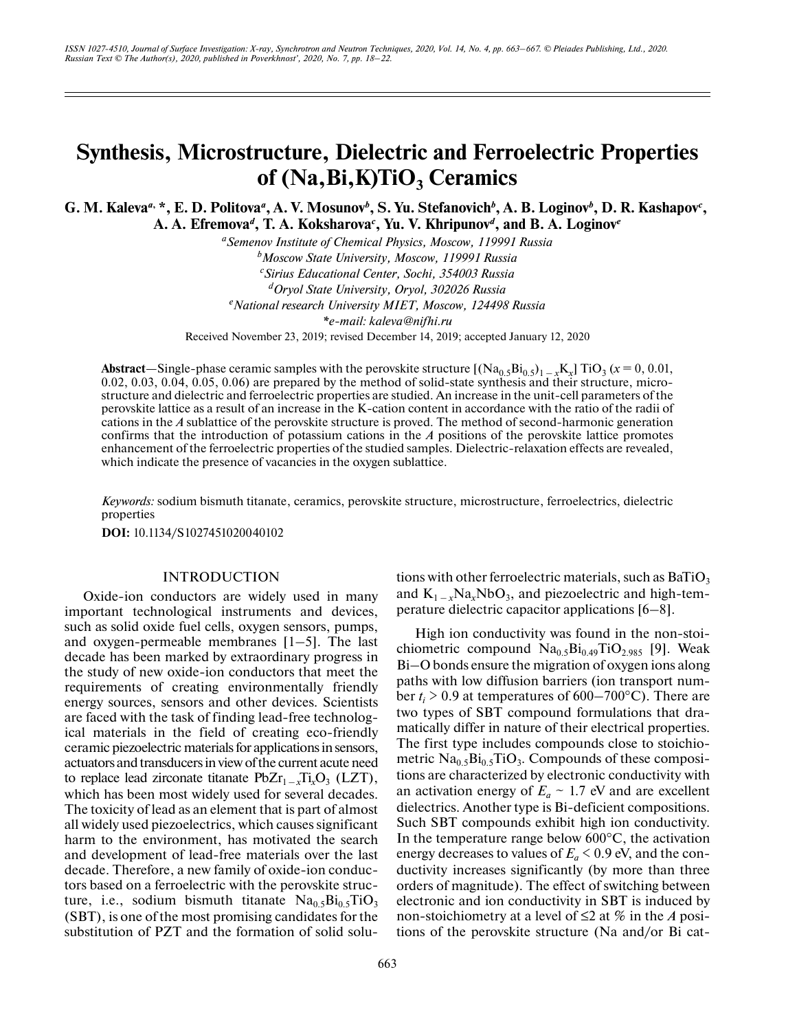# **Synthesis, Microstructure, Dielectric and Ferroelectric Properties** of (Na, Bi, K)TiO<sub>3</sub> Ceramics

G. M. Kaleva<sup>*a*</sup>, \*, E. D. Politova<sup>*a*</sup>, A. V. Mosunov<sup>*b*</sup>, S. Yu. Stefanovich<sup>*b*</sup>, A. B. Loginov<sup>*b*</sup>, D. R. Kashapov<sup>*c*</sup>, **A. A. Efremova***<sup>d</sup>***, T. A. Koksharova***<sup>c</sup>* **, Yu. V. Khripunov***<sup>d</sup>***, and B. A. Loginov***<sup>e</sup>*

> *aSemenov Institute of Chemical Physics, Moscow, 119991 Russia b Moscow State University, Moscow, 119991 Russia c Sirius Educational Center, Sochi, 354003 Russia d Oryol State University, Oryol, 302026 Russia e National research University MIET, Moscow, 124498 Russia \*e-mail: kaleva@nifhi.ru* Received November 23, 2019; revised December 14, 2019; accepted January 12, 2020

Abstract—Single-phase ceramic samples with the perovskite structure  $[(Na_{0.5}Bi_{0.5})_{1-x}K_x] TiO_3 (x=0, 0.01, ...)$ 0.02, 0.03, 0.04, 0.05, 0.06) are prepared by the method of solid-state synthesis and their structure, microstructure and dielectric and ferroelectric properties are studied. An increase in the unit-cell parameters of the perovskite lattice as a result of an increase in the K-cation content in accordance with the ratio of the radii of cations in the *A* sublattice of the perovskite structure is proved. The method of second-harmonic generation confirms that the introduction of potassium cations in the *A* positions of the perovskite lattice promotes enhancement of the ferroelectric properties of the studied samples. Dielectric-relaxation effects are revealed, which indicate the presence of vacancies in the oxygen sublattice.

*Keywords:* sodium bismuth titanate, ceramics, perovskite structure, microstructure, ferroelectrics, dielectric properties

**DOI:** 10.1134/S1027451020040102

#### INTRODUCTION

Oxide-ion conductors are widely used in many important technological instruments and devices, such as solid oxide fuel cells, oxygen sensors, pumps, and oxygen-permeable membranes [1–5]. The last decade has been marked by extraordinary progress in the study of new oxide-ion conductors that meet the requirements of creating environmentally friendly energy sources, sensors and other devices. Scientists are faced with the task of finding lead-free technological materials in the field of creating eco-friendly ceramic piezoelectric materials for applications in sensors, actuators and transducers in view of the current acute need to replace lead zirconate titanate  $PbZr_{1-x}Ti_xO_3$  (LZT), which has been most widely used for several decades. The toxicity of lead as an element that is part of almost all widely used piezoelectrics, which causes significant harm to the environment, has motivated the search and development of lead-free materials over the last decade. Therefore, a new family of oxide-ion conductors based on a ferroelectric with the perovskite structure, i.e., sodium bismuth titanate  $Na<sub>0.5</sub>Bi<sub>0.5</sub>TiO<sub>3</sub>$ (SBT), is one of the most promising candidates for the substitution of PZT and the formation of solid solu-

tions with other ferroelectric materials, such as  $BaTiO<sub>3</sub>$ and  $K_{1-x}Na_xNbO_3$ , and piezoelectric and high-temperature dielectric capacitor applications [6–8].

High ion conductivity was found in the non-stoichiometric compound  $\text{Na}_{0.5}\text{Bi}_{0.49}\text{TiO}_{2.985}$  [9]. Weak Bi–O bonds ensure the migration of oxygen ions along paths with low diffusion barriers (ion transport number  $t_i > 0.9$  at temperatures of 600–700°C). There are two types of SBT compound formulations that dramatically differ in nature of their electrical properties. The first type includes compounds close to stoichiometric  $\text{Na}_{0.5}\text{Bi}_{0.5}\text{TiO}_3$ . Compounds of these compositions are characterized by electronic conductivity with an activation energy of  $E_a \sim 1.7$  eV and are excellent dielectrics. Another type is Bi-deficient compositions. Such SBT compounds exhibit high ion conductivity. In the temperature range below  $600^{\circ}$ C, the activation energy decreases to values of  $E_a < 0.9$  eV, and the conductivity increases significantly (by more than three orders of magnitude). The effect of switching between electronic and ion conductivity in SBT is induced by non-stoichiometry at a level of ≤2 at % in the *A* positions of the perovskite structure (Na and/or Bi cat-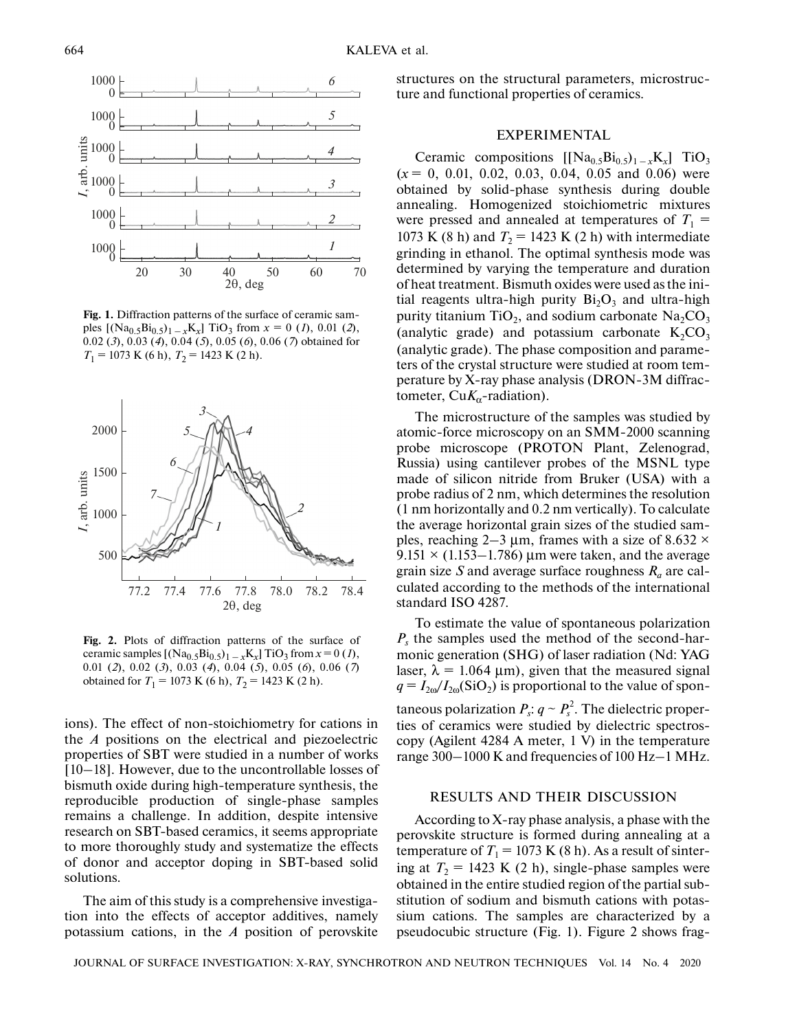

**Fig. 1.** Diffraction patterns of the surface of ceramic samples  $[(Na_{0.5}Bi_{0.5})_{1-x}K_x]$  TiO<sub>3</sub> from  $x = 0$  (*1*), 0.01 (*2*), 0.02 (*3*), 0.03 (*4*), 0.04 (*5*), 0.05 (*6*), 0.06 (*7*) obtained for  $T_1$  = 1073 K (6 h),  $T_2$  = 1423 K (2 h).



**Fig. 2.** Plots of diffraction patterns of the surface of ceramic samples  $[(Na_{0.5}Bi_{0.5})_{1-x}K_x]$  TiO<sub>3</sub> from  $x = 0$  (*1*), 0.01 (*2*), 0.02 (*3*), 0.03 (*4*), 0.04 (*5*), 0.05 (*6*), 0.06 (*7*) obtained for  $T_1 = 1073$  K (6 h),  $T_2 = 1423$  K (2 h).

ions). The effect of non-stoichiometry for cations in the *A* positions on the electrical and piezoelectric properties of SBT were studied in a number of works [10–18]. However, due to the uncontrollable losses of bismuth oxide during high-temperature synthesis, the reproducible production of single-phase samples remains a challenge. In addition, despite intensive research on SBT-based ceramics, it seems appropriate to more thoroughly study and systematize the effects of donor and acceptor doping in SBT-based solid solutions.

The aim of this study is a comprehensive investigation into the effects of acceptor additives, namely potassium cations, in the *A* position of perovskite

structures on the structural parameters, microstructure and functional properties of ceramics.

# EXPERIMENTAL

Ceramic compositions  $[[Na_{0.5}Bi_{0.5}]_{1-x}K_x]$  TiO<sub>3</sub>  $(x = 0, 0.01, 0.02, 0.03, 0.04, 0.05, 0.06)$  were obtained by solid-phase synthesis during double annealing. Homogenized stoichiometric mixtures were pressed and annealed at temperatures of  $T_1$  = 1073 K (8 h) and  $T_2$  = 1423 K (2 h) with intermediate grinding in ethanol. The optimal synthesis mode was determined by varying the temperature and duration of heat treatment. Bismuth oxides were used as the initial reagents ultra-high purity  $Bi<sub>2</sub>O<sub>3</sub>$  and ultra-high purity titanium TiO<sub>2</sub>, and sodium carbonate  $Na<sub>2</sub>CO<sub>3</sub>$ (analytic grade) and potassium carbonate  $K_2CO_3$ (analytic grade). The phase composition and parameters of the crystal structure were studied at room temperature by X-ray phase analysis (DRON-3M diffractometer,  $CuK_{\alpha}$ -radiation).

The microstructure of the samples was studied by atomic-force microscopy on an SMM-2000 scanning probe microscope (PROTON Plant, Zelenograd, Russia) using cantilever probes of the MSNL type made of silicon nitride from Bruker (USA) with a probe radius of 2 nm, which determines the resolution (1 nm horizontally and 0.2 nm vertically). To calculate the average horizontal grain sizes of the studied samples, reaching 2–3  $\mu$ m, frames with a size of 8.632  $\times$  $9.151 \times (1.153 - 1.786)$  µm were taken, and the average grain size S and average surface roughness  $R_a$  are calculated according to the methods of the international standard ISO 4287.

To estimate the value of spontaneous polarization *Ps* the samples used the method of the second-harmonic generation (SHG) of laser radiation (Nd: YAG laser,  $\lambda = 1.064$  µm), given that the measured signal  $q = I_{2\omega}/I_{2\omega}(\text{SiO}_2)$  is proportional to the value of spontaneous polarization  $P_s: q \sim P_s^2$ . The dielectric properties of ceramics were studied by dielectric spectroscopy (Agilent 4284 A meter, 1 V) in the temperature range 300–1000 K and frequencies of 100 Hz–1 MHz.

#### RESULTS AND THEIR DISCUSSION

According to X-ray phase analysis, a phase with the perovskite structure is formed during annealing at a temperature of  $T_1 = 1073$  K (8 h). As a result of sintering at  $T_2$  = 1423 K (2 h), single-phase samples were obtained in the entire studied region of the partial substitution of sodium and bismuth cations with potassium cations. The samples are characterized by a pseudocubic structure (Fig. 1). Figure 2 shows frag-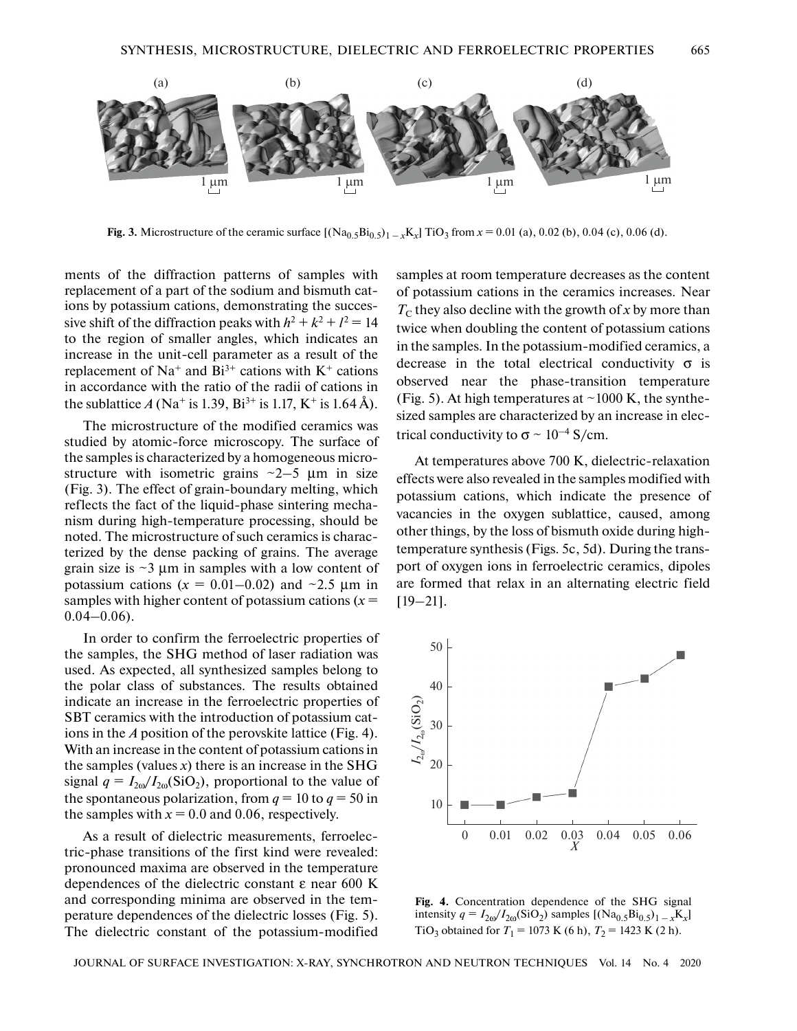

**Fig. 3.** Microstructure of the ceramic surface  $[(Na_0, 5B_0, 5)_{1-x}K_x]$  TiO<sub>3</sub> from  $x = 0.01$  (a), 0.02 (b), 0.04 (c), 0.06 (d).

ments of the diffraction patterns of samples with replacement of a part of the sodium and bismuth cations by potassium cations, demonstrating the successive shift of the diffraction peaks with  $h^2 + k^2 + l^2 = 14$ to the region of smaller angles, which indicates an increase in the unit-cell parameter as a result of the replacement of Na<sup>+</sup> and Bi<sup>3+</sup> cations with K<sup>+</sup> cations in accordance with the ratio of the radii of cations in the sublattice *A* (Na<sup>+</sup> is 1.39, Bi<sup>3+</sup> is 1.17, K<sup>+</sup> is 1.64 Å).

The microstructure of the modified ceramics was studied by atomic-force microscopy. The surface of the samples is characterized by a homogeneous microstructure with isometric grains  $\sim$ 2–5  $\mu$ m in size (Fig. 3). The effect of grain-boundary melting, which reflects the fact of the liquid-phase sintering mechanism during high-temperature processing, should be noted. The microstructure of such ceramics is characterized by the dense packing of grains. The average grain size is  $\sim$ 3  $\mu$ m in samples with a low content of potassium cations  $(x = 0.01 - 0.02)$  and  $\sim 2.5$  µm in samples with higher content of potassium cations  $(x =$  $0.04-0.06$ ).

In order to confirm the ferroelectric properties of the samples, the SHG method of laser radiation was used. As expected, all synthesized samples belong to the polar class of substances. The results obtained indicate an increase in the ferroelectric properties of SBT ceramics with the introduction of potassium cations in the *A* position of the perovskite lattice (Fig. 4). With an increase in the content of potassium cations in the samples (values  $x$ ) there is an increase in the SHG signal  $q = I_{20}/I_{20}(\text{SiO}_2)$ , proportional to the value of the spontaneous polarization, from  $q = 10$  to  $q = 50$  in the samples with  $x = 0.0$  and 0.06, respectively.

As a result of dielectric measurements, ferroelectric-phase transitions of the first kind were revealed: pronounced maxima are observed in the temperature dependences of the dielectric constant ε near 600 K and corresponding minima are observed in the temperature dependences of the dielectric losses (Fig. 5). The dielectric constant of the potassium-modified samples at room temperature decreases as the content of potassium cations in the ceramics increases. Near  $T_c$  they also decline with the growth of *x* by more than twice when doubling the content of potassium cations in the samples. In the potassium-modified ceramics, a decrease in the total electrical conductivity  $\sigma$  is observed near the phase-transition temperature (Fig. 5). At high temperatures at  $\sim$ 1000 K, the synthesized samples are characterized by an increase in electrical conductivity to  $\sigma \sim 10^{-4}$  S/cm.

At temperatures above 700 K, dielectric-relaxation effects were also revealed in the samples modified with potassium cations, which indicate the presence of vacancies in the oxygen sublattice, caused, among other things, by the loss of bismuth oxide during hightemperature synthesis (Figs. 5c, 5d). During the transport of oxygen ions in ferroelectric ceramics, dipoles are formed that relax in an alternating electric field [19–21].



**Fig. 4.** Concentration dependence of the SHG signal intensity  $q = I_{20}/I_{20}(\text{SiO}_2)$  samples  $[(\text{Na}_{0.5}\text{Bi}_{0.5})_{1-x}\text{K}_{x}]$ TiO<sub>3</sub> obtained for  $T_1 = 1073$  K (6 h),  $T_2 = 1423$  K (2 h).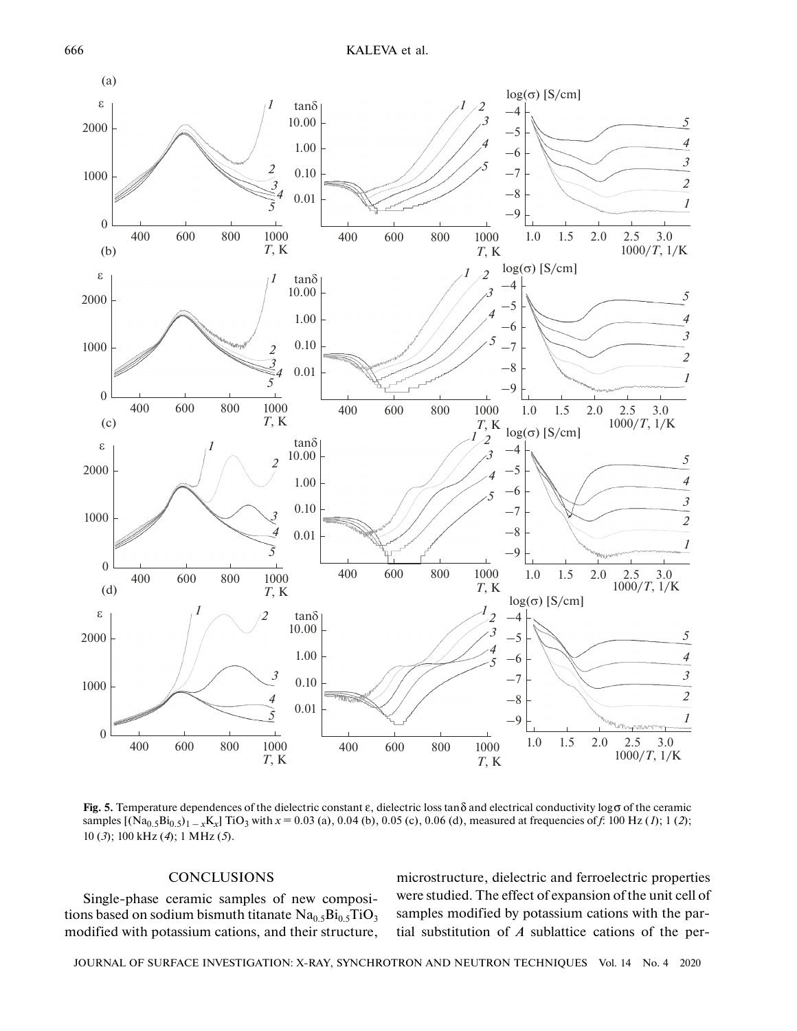

**Fig. 5.** Temperature dependences of the dielectric constant ε, dielectric loss tanδ and electrical conductivity logσ of the ceramic samples  $[(Na_{0.5}Bi_{0.5}]_{1-x}K_x]$  TiO<sub>3</sub> with  $x = 0.03$  (a), 0.04 (b), 0.05 (c), 0.06 (d), measured at frequencies of *f*: 100 Hz (*1*); 1 (2); 10 (*3*); 100 kHz (*4*); 1 MHz (*5*).

## **CONCLUSIONS**

Single-phase ceramic samples of new compositions based on sodium bismuth titanate  $\text{Na}_{0.5}\text{Bi}_{0.5}\text{TiO}_3$ modified with potassium cations, and their structure,

microstructure, dielectric and ferroelectric properties were studied. The effect of expansion of the unit cell of samples modified by potassium cations with the partial substitution of *A* sublattice cations of the per